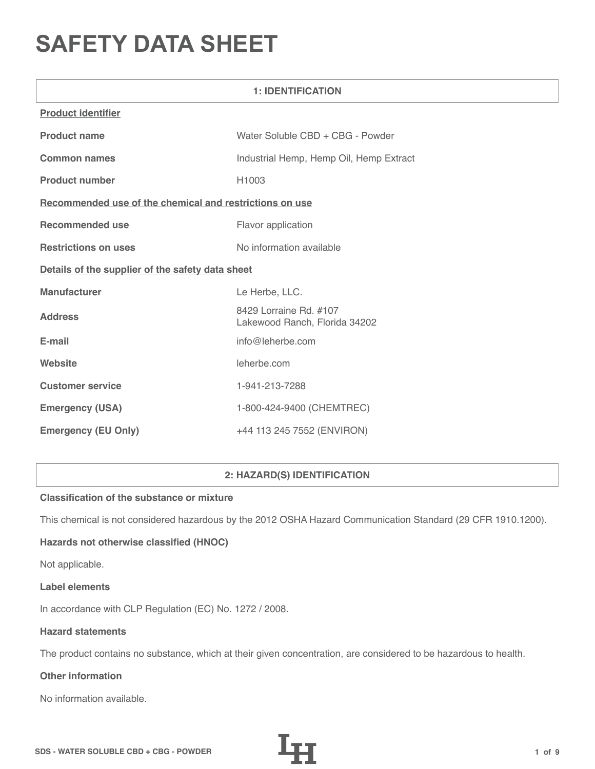# **SAFETY DATA SHEET**

| <b>1: IDENTIFICATION</b>                                |                                                         |  |  |
|---------------------------------------------------------|---------------------------------------------------------|--|--|
| <b>Product identifier</b>                               |                                                         |  |  |
| <b>Product name</b>                                     | Water Soluble CBD + CBG - Powder                        |  |  |
| <b>Common names</b>                                     | Industrial Hemp, Hemp Oil, Hemp Extract                 |  |  |
| <b>Product number</b>                                   | H <sub>1003</sub>                                       |  |  |
| Recommended use of the chemical and restrictions on use |                                                         |  |  |
| <b>Recommended use</b>                                  | Flavor application                                      |  |  |
| <b>Restrictions on uses</b>                             | No information available                                |  |  |
| Details of the supplier of the safety data sheet        |                                                         |  |  |
| <b>Manufacturer</b>                                     | Le Herbe, LLC.                                          |  |  |
| <b>Address</b>                                          | 8429 Lorraine Rd. #107<br>Lakewood Ranch, Florida 34202 |  |  |
| E-mail                                                  | info@leherbe.com                                        |  |  |
| Website                                                 | leherbe.com                                             |  |  |
| <b>Customer service</b>                                 | 1-941-213-7288                                          |  |  |
| <b>Emergency (USA)</b>                                  | 1-800-424-9400 (CHEMTREC)                               |  |  |
| <b>Emergency (EU Only)</b>                              | +44 113 245 7552 (ENVIRON)                              |  |  |

# **2: HAZARD(S) IDENTIFICATION**

## **Classification of the substance or mixture**

This chemical is not considered hazardous by the 2012 OSHA Hazard Communication Standard (29 CFR 1910.1200).

# **Hazards not otherwise classified (HNOC)**

Not applicable.

#### **Label elements**

In accordance with CLP Regulation (EC) No. 1272 / 2008.

### **Hazard statements**

The product contains no substance, which at their given concentration, are considered to be hazardous to health.

# **Other information**

No information available.

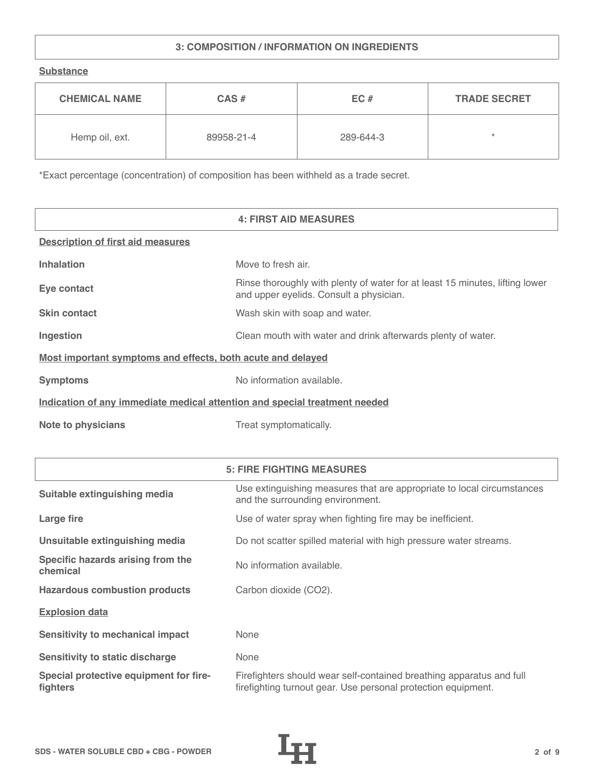# **3: COMPOSITION / INFORMATION ON INGREDIENTS**

**Substance**

| <b>CHEMICAL NAME</b> | $CAS \#$   | EC#       | <b>TRADE SECRET</b> |
|----------------------|------------|-----------|---------------------|
| Hemp oil, ext.       | 89958-21-4 | 289-644-3 | ÷                   |

\*Exact percentage (concentration) of composition has been withheld as a trade secret.

|                                                                            | <b>4: FIRST AID MEASURES</b>                                                                                            |  |
|----------------------------------------------------------------------------|-------------------------------------------------------------------------------------------------------------------------|--|
| <b>Description of first aid measures</b>                                   |                                                                                                                         |  |
| <b>Inhalation</b>                                                          | Move to fresh air.                                                                                                      |  |
| Eye contact                                                                | Rinse thoroughly with plenty of water for at least 15 minutes, lifting lower<br>and upper eyelids. Consult a physician. |  |
| <b>Skin contact</b>                                                        | Wash skin with soap and water.                                                                                          |  |
| Ingestion                                                                  | Clean mouth with water and drink afterwards plenty of water.                                                            |  |
| Most important symptoms and effects, both acute and delayed                |                                                                                                                         |  |
| <b>Symptoms</b>                                                            | No information available.                                                                                               |  |
| Indication of any immediate medical attention and special treatment needed |                                                                                                                         |  |
| <b>Note to physicians</b>                                                  | Treat symptomatically.                                                                                                  |  |

|                                                    | <b>5: FIRE FIGHTING MEASURES</b>                                                                                                      |
|----------------------------------------------------|---------------------------------------------------------------------------------------------------------------------------------------|
| Suitable extinguishing media                       | Use extinguishing measures that are appropriate to local circumstances<br>and the surrounding environment.                            |
| Large fire                                         | Use of water spray when fighting fire may be inefficient.                                                                             |
| Unsuitable extinguishing media                     | Do not scatter spilled material with high pressure water streams.                                                                     |
| Specific hazards arising from the<br>chemical      | No information available.                                                                                                             |
| <b>Hazardous combustion products</b>               | Carbon dioxide (CO2).                                                                                                                 |
| <b>Explosion data</b>                              |                                                                                                                                       |
| Sensitivity to mechanical impact                   | None                                                                                                                                  |
| Sensitivity to static discharge                    | None                                                                                                                                  |
| Special protective equipment for fire-<br>fighters | Firefighters should wear self-contained breathing apparatus and full<br>firefighting turnout gear. Use personal protection equipment. |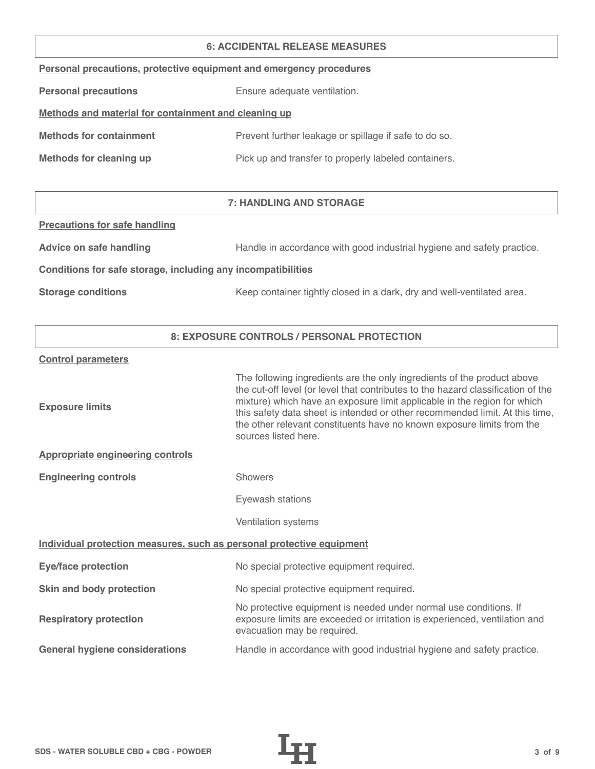#### **6: ACCIDENTAL RELEASE MEASURES**

| Personal precautions, protective equipment and emergency procedures |  |  |  |
|---------------------------------------------------------------------|--|--|--|
|                                                                     |  |  |  |

**Personal precautions** Ensure adequate ventilation.

# **Methods and material for containment and cleaning up**

| <b>Methods for containment</b> | Prevent further leakage or spillage if safe to do so. |
|--------------------------------|-------------------------------------------------------|
|                                |                                                       |

**Methods for cleaning up Pick up and transfer to properly labeled containers.** 

# **7: HANDLING AND STORAGE**

### **Precautions for safe handling**

Advice on safe handling **Handle in accordance with good industrial hygiene and safety practice.** 

## **Conditions for safe storage, including any incompatibilities**

**Storage conditions** Keep container tightly closed in a dark, dry and well-ventilated area.

## **8: EXPOSURE CONTROLS / PERSONAL PROTECTION**

#### **Control parameters**

| The following ingredients are the only ingredients of the product above<br>the cut-off level (or level that contributes to the hazard classification of the<br>mixture) which have an exposure limit applicable in the region for which<br>this safety data sheet is intended or other recommended limit. At this time,<br>the other relevant constituents have no known exposure limits from the<br>sources listed here. |  |  |  |
|---------------------------------------------------------------------------------------------------------------------------------------------------------------------------------------------------------------------------------------------------------------------------------------------------------------------------------------------------------------------------------------------------------------------------|--|--|--|
|                                                                                                                                                                                                                                                                                                                                                                                                                           |  |  |  |
| <b>Showers</b>                                                                                                                                                                                                                                                                                                                                                                                                            |  |  |  |
| Eyewash stations                                                                                                                                                                                                                                                                                                                                                                                                          |  |  |  |
| Ventilation systems                                                                                                                                                                                                                                                                                                                                                                                                       |  |  |  |
| Individual protection measures, such as personal protective equipment                                                                                                                                                                                                                                                                                                                                                     |  |  |  |
| No special protective equipment required.                                                                                                                                                                                                                                                                                                                                                                                 |  |  |  |
| No special protective equipment required.                                                                                                                                                                                                                                                                                                                                                                                 |  |  |  |
| No protective equipment is needed under normal use conditions. If<br>exposure limits are exceeded or irritation is experienced, ventilation and<br>evacuation may be required.                                                                                                                                                                                                                                            |  |  |  |
| Handle in accordance with good industrial hygiene and safety practice.                                                                                                                                                                                                                                                                                                                                                    |  |  |  |
|                                                                                                                                                                                                                                                                                                                                                                                                                           |  |  |  |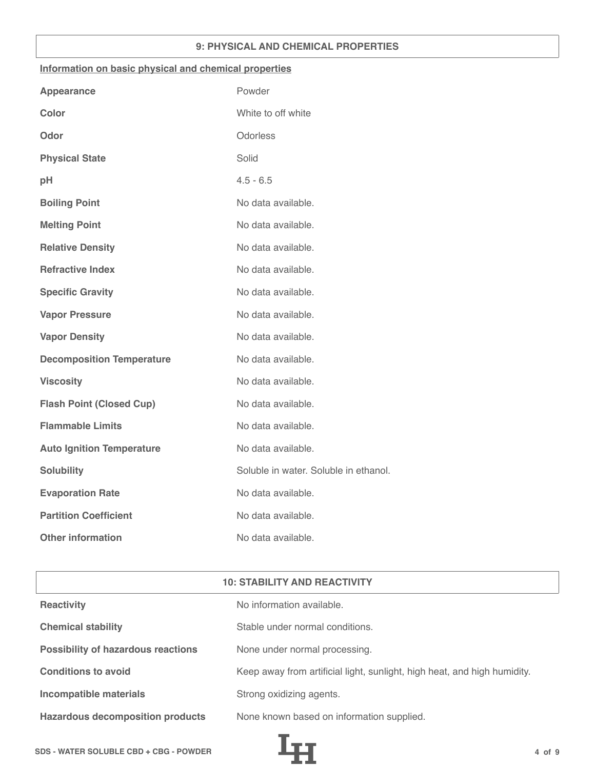## **9: PHYSICAL AND CHEMICAL PROPERTIES**

### **Information on basic physical and chemical properties**

| Powder                                |
|---------------------------------------|
| White to off white                    |
| Odorless                              |
| Solid                                 |
| $4.5 - 6.5$                           |
| No data available.                    |
| No data available.                    |
| No data available.                    |
| No data available.                    |
| No data available.                    |
| No data available.                    |
| No data available.                    |
| No data available.                    |
| No data available.                    |
| No data available.                    |
| No data available.                    |
| No data available.                    |
| Soluble in water. Soluble in ethanol. |
| No data available.                    |
| No data available.                    |
| No data available.                    |
|                                       |

# **10: STABILITY AND REACTIVITY**

| <b>Reactivity</b>                         | No information available.                                                |
|-------------------------------------------|--------------------------------------------------------------------------|
| <b>Chemical stability</b>                 | Stable under normal conditions.                                          |
| <b>Possibility of hazardous reactions</b> | None under normal processing.                                            |
| <b>Conditions to avoid</b>                | Keep away from artificial light, sunlight, high heat, and high humidity. |
| Incompatible materials                    | Strong oxidizing agents.                                                 |
| <b>Hazardous decomposition products</b>   | None known based on information supplied.                                |

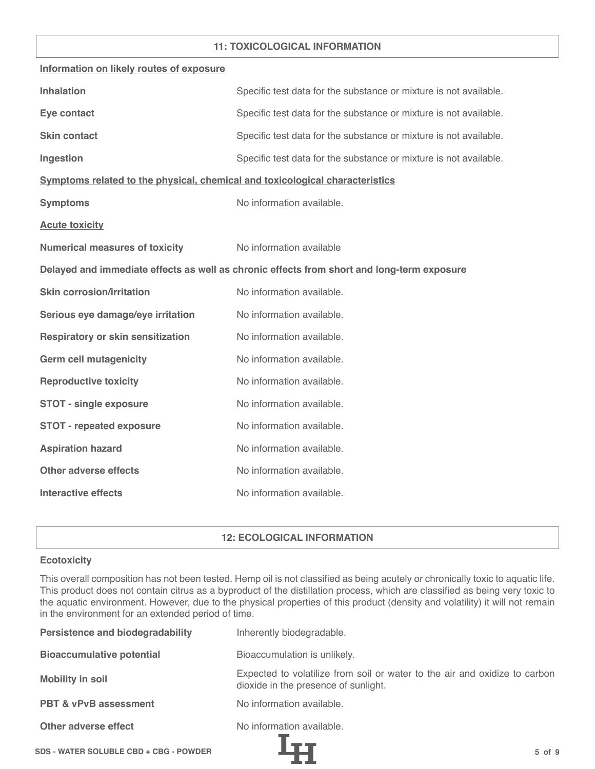## **11: TOXICOLOGICAL INFORMATION**

| Information on likely routes of exposure                                     |                                                                                            |
|------------------------------------------------------------------------------|--------------------------------------------------------------------------------------------|
| <b>Inhalation</b>                                                            | Specific test data for the substance or mixture is not available.                          |
| Eye contact                                                                  | Specific test data for the substance or mixture is not available.                          |
| <b>Skin contact</b>                                                          | Specific test data for the substance or mixture is not available.                          |
| Ingestion                                                                    | Specific test data for the substance or mixture is not available.                          |
| Symptoms related to the physical, chemical and toxicological characteristics |                                                                                            |
| <b>Symptoms</b>                                                              | No information available.                                                                  |
| <b>Acute toxicity</b>                                                        |                                                                                            |
| <b>Numerical measures of toxicity</b>                                        | No information available                                                                   |
|                                                                              | Delayed and immediate effects as well as chronic effects from short and long-term exposure |
| <b>Skin corrosion/irritation</b>                                             | No information available.                                                                  |
| Serious eye damage/eye irritation                                            | No information available.                                                                  |
| <b>Respiratory or skin sensitization</b>                                     | No information available.                                                                  |
| <b>Germ cell mutagenicity</b>                                                | No information available.                                                                  |
| <b>Reproductive toxicity</b>                                                 | No information available.                                                                  |
| <b>STOT - single exposure</b>                                                | No information available.                                                                  |
| <b>STOT - repeated exposure</b>                                              | No information available.                                                                  |
| <b>Aspiration hazard</b>                                                     | No information available.                                                                  |
| <b>Other adverse effects</b>                                                 | No information available.                                                                  |
| <b>Interactive effects</b>                                                   | No information available.                                                                  |

## **12: ECOLOGICAL INFORMATION**

### **Ecotoxicity**

This overall composition has not been tested. Hemp oil is not classified as being acutely or chronically toxic to aquatic life. This product does not contain citrus as a byproduct of the distillation process, which are classified as being very toxic to the aquatic environment. However, due to the physical properties of this product (density and volatility) it will not remain in the environment for an extended period of time.

| <b>Persistence and biodegradability</b> | Inherently biodegradable.                                                                                          |
|-----------------------------------------|--------------------------------------------------------------------------------------------------------------------|
| <b>Bioaccumulative potential</b>        | Bioaccumulation is unlikely.                                                                                       |
| <b>Mobility in soil</b>                 | Expected to volatilize from soil or water to the air and oxidize to carbon<br>dioxide in the presence of sunlight. |
| <b>PBT &amp; vPvB assessment</b>        | No information available.                                                                                          |
| Other adverse effect                    | No information available.                                                                                          |
|                                         |                                                                                                                    |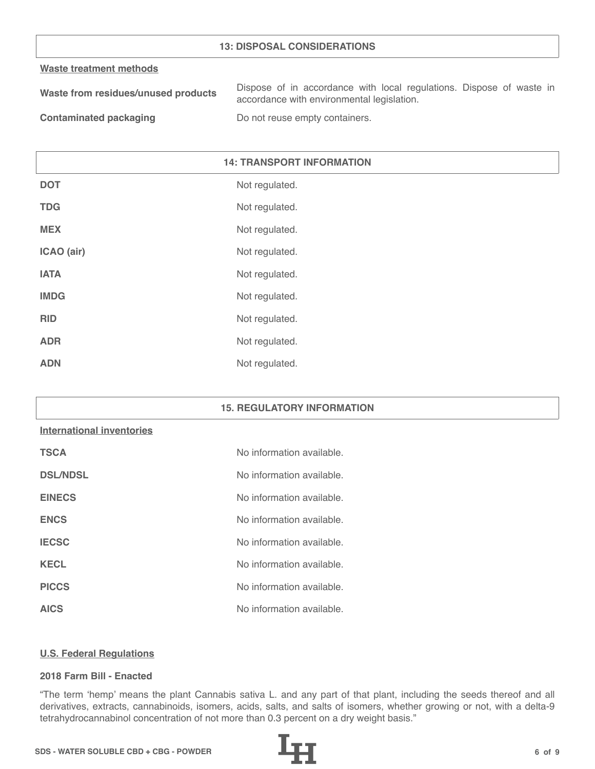## **13: DISPOSAL CONSIDERATIONS**

#### **Waste treatment methods**

| Waste from residues/unused products | Dispose of in accordance with local regulations. Dispose of waste in |
|-------------------------------------|----------------------------------------------------------------------|
|                                     | accordance with environmental legislation.                           |
|                                     |                                                                      |

**Contaminated packaging The Contaminated packaging Containers.** 

# **14: TRANSPORT INFORMATION**

| <b>DOT</b>  | Not regulated. |
|-------------|----------------|
| <b>TDG</b>  | Not regulated. |
| <b>MEX</b>  | Not regulated. |
| ICAO (air)  | Not regulated. |
| <b>IATA</b> | Not regulated. |
| <b>IMDG</b> | Not regulated. |
| <b>RID</b>  | Not regulated. |
| <b>ADR</b>  | Not regulated. |
| <b>ADN</b>  | Not regulated. |

## **15. REGULATORY INFORMATION**

#### **International inventories**

| <b>TSCA</b>     | No information available. |
|-----------------|---------------------------|
| <b>DSL/NDSL</b> | No information available. |
| <b>EINECS</b>   | No information available. |
| <b>ENCS</b>     | No information available. |
| <b>IECSC</b>    | No information available. |
| <b>KECL</b>     | No information available. |
| <b>PICCS</b>    | No information available. |
| <b>AICS</b>     | No information available. |

#### **U.S. Federal Regulations**

#### **2018 Farm Bill - Enacted**

"The term 'hemp' means the plant Cannabis sativa L. and any part of that plant, including the seeds thereof and all derivatives, extracts, cannabinoids, isomers, acids, salts, and salts of isomers, whether growing or not, with a delta-9 tetrahydrocannabinol concentration of not more than 0.3 percent on a dry weight basis."

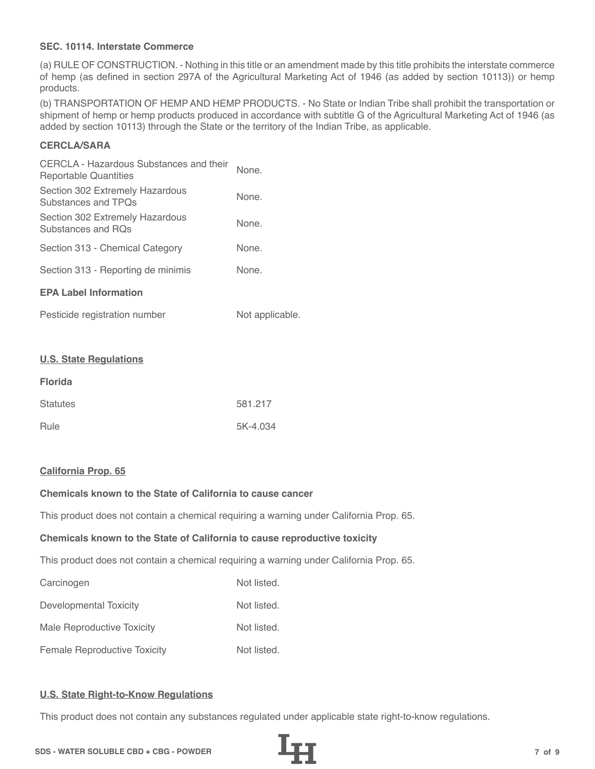## **SEC. 10114. Interstate Commerce**

(a) RULE OF CONSTRUCTION. - Nothing in this title or an amendment made by this title prohibits the interstate commerce of hemp (as defined in section 297A of the Agricultural Marketing Act of 1946 (as added by section 10113)) or hemp products.

(b) TRANSPORTATION OF HEMP AND HEMP PRODUCTS. - No State or Indian Tribe shall prohibit the transportation or shipment of hemp or hemp products produced in accordance with subtitle G of the Agricultural Marketing Act of 1946 (as added by section 10113) through the State or the territory of the Indian Tribe, as applicable.

# **CERCLA/SARA**

| CERCLA - Hazardous Substances and their<br>Reportable Quantities | None. |  |
|------------------------------------------------------------------|-------|--|
| Section 302 Extremely Hazardous<br>Substances and TPOs           | None. |  |
| Section 302 Extremely Hazardous<br>Substances and ROs            | None. |  |
| Section 313 - Chemical Category                                  | None. |  |
| Section 313 - Reporting de minimis                               | None. |  |
| <b>EPA Label Information</b>                                     |       |  |
|                                                                  |       |  |

| Pesticide registration number | Not applicable. |
|-------------------------------|-----------------|
|-------------------------------|-----------------|

#### **U.S. State Regulations**

| <b>Florida</b>  |          |
|-----------------|----------|
| <b>Statutes</b> | 581.217  |
| Rule            | 5K-4.034 |

#### **California Prop. 65**

# **Chemicals known to the State of California to cause cancer**

This product does not contain a chemical requiring a warning under California Prop. 65.

#### **Chemicals known to the State of California to cause reproductive toxicity**

This product does not contain a chemical requiring a warning under California Prop. 65.

| Carcinogen                          | Not listed. |
|-------------------------------------|-------------|
| Developmental Toxicity              | Not listed. |
| Male Reproductive Toxicity          | Not listed. |
| <b>Female Reproductive Toxicity</b> | Not listed. |

## **U.S. State Right-to-Know Regulations**

This product does not contain any substances regulated under applicable state right-to-know regulations.

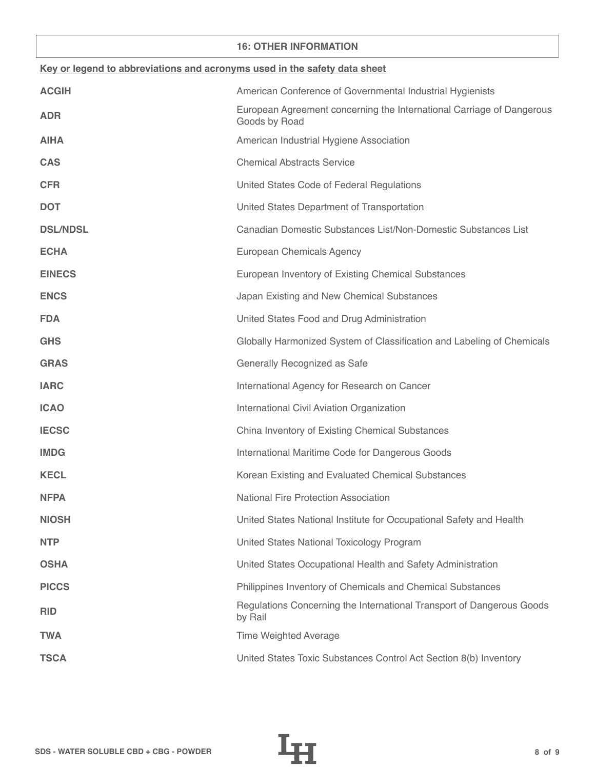## **16: OTHER INFORMATION**

| Key or legend to abbreviations and acronyms used in the safety data sheet |                                                                                        |  |
|---------------------------------------------------------------------------|----------------------------------------------------------------------------------------|--|
| <b>ACGIH</b>                                                              | American Conference of Governmental Industrial Hygienists                              |  |
| <b>ADR</b>                                                                | European Agreement concerning the International Carriage of Dangerous<br>Goods by Road |  |
| <b>AIHA</b>                                                               | American Industrial Hygiene Association                                                |  |
| <b>CAS</b>                                                                | <b>Chemical Abstracts Service</b>                                                      |  |
| <b>CFR</b>                                                                | United States Code of Federal Regulations                                              |  |
| <b>DOT</b>                                                                | United States Department of Transportation                                             |  |
| <b>DSL/NDSL</b>                                                           | Canadian Domestic Substances List/Non-Domestic Substances List                         |  |
| <b>ECHA</b>                                                               | European Chemicals Agency                                                              |  |
| <b>EINECS</b>                                                             | European Inventory of Existing Chemical Substances                                     |  |
| <b>ENCS</b>                                                               | Japan Existing and New Chemical Substances                                             |  |
| <b>FDA</b>                                                                | United States Food and Drug Administration                                             |  |
| <b>GHS</b>                                                                | Globally Harmonized System of Classification and Labeling of Chemicals                 |  |
| <b>GRAS</b>                                                               | Generally Recognized as Safe                                                           |  |
| <b>IARC</b>                                                               | International Agency for Research on Cancer                                            |  |
| <b>ICAO</b>                                                               | International Civil Aviation Organization                                              |  |
| <b>IECSC</b>                                                              | China Inventory of Existing Chemical Substances                                        |  |
| <b>IMDG</b>                                                               | International Maritime Code for Dangerous Goods                                        |  |
| <b>KECL</b>                                                               | Korean Existing and Evaluated Chemical Substances                                      |  |
| <b>NFPA</b>                                                               | <b>National Fire Protection Association</b>                                            |  |
| <b>NIOSH</b>                                                              | United States National Institute for Occupational Safety and Health                    |  |
| <b>NTP</b>                                                                | United States National Toxicology Program                                              |  |
| <b>OSHA</b>                                                               | United States Occupational Health and Safety Administration                            |  |
| <b>PICCS</b>                                                              | Philippines Inventory of Chemicals and Chemical Substances                             |  |
| <b>RID</b>                                                                | Regulations Concerning the International Transport of Dangerous Goods<br>by Rail       |  |
| <b>TWA</b>                                                                | <b>Time Weighted Average</b>                                                           |  |
| <b>TSCA</b>                                                               | United States Toxic Substances Control Act Section 8(b) Inventory                      |  |